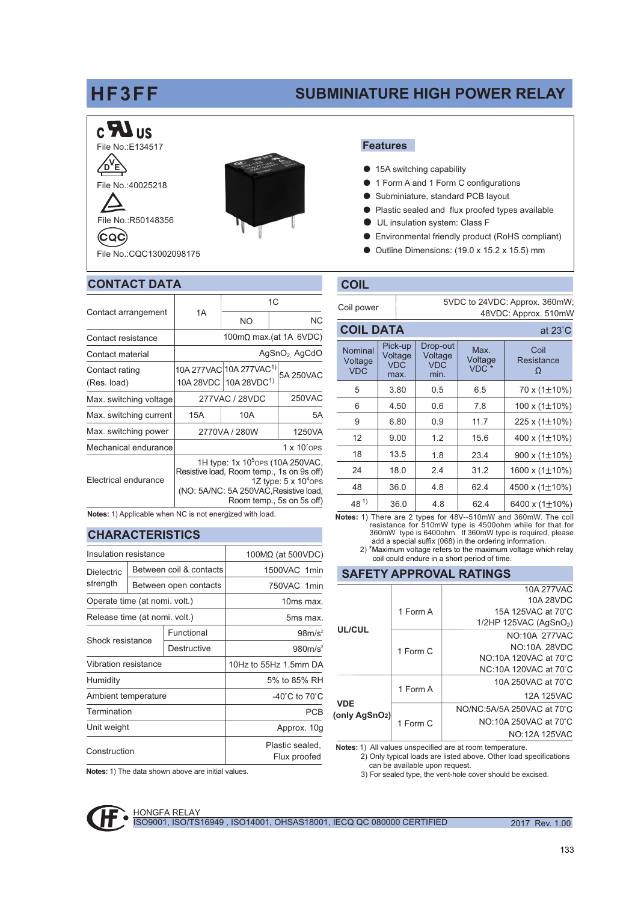# HF3FF

## **SUBMINIATURE HIGH POWER RELAY**

## $c$   $\mathbf{R}$  us File No.: E134517

Ъ ′г File No.: 40025218



(CQC)



File No.: COC13002098175

## **CONTACT DATA**

|                                                                                                                                     |                                                                                                                                                                                                   | 1C                                                                       |        |           |  |
|-------------------------------------------------------------------------------------------------------------------------------------|---------------------------------------------------------------------------------------------------------------------------------------------------------------------------------------------------|--------------------------------------------------------------------------|--------|-----------|--|
| Contact arrangement                                                                                                                 | 1A                                                                                                                                                                                                | NO.                                                                      |        | <b>NC</b> |  |
| Contact resistance                                                                                                                  | 100m $\Omega$ max.(at 1A 6VDC)                                                                                                                                                                    |                                                                          |        |           |  |
| Contact material                                                                                                                    | AgSnO <sub>2</sub> AgCdO                                                                                                                                                                          |                                                                          |        |           |  |
| Contact rating<br>(Res. load)                                                                                                       |                                                                                                                                                                                                   | 10A 277VAC 10A 277VAC <sup>1)</sup><br>10A 28VDC 10A 28VDC <sup>1)</sup> |        | 5A 250VAC |  |
| Max. switching voltage                                                                                                              | 277VAC / 28VDC                                                                                                                                                                                    |                                                                          | 250VAC |           |  |
| Max. switching current                                                                                                              | 15A                                                                                                                                                                                               | 10A                                                                      |        | 5A        |  |
| Max. switching power                                                                                                                | 2770VA / 280W                                                                                                                                                                                     |                                                                          |        | 1250VA    |  |
| Mechanical endurance                                                                                                                | $1 \times 10^{7}$ OPS                                                                                                                                                                             |                                                                          |        |           |  |
| Electrical endurance                                                                                                                | 1H type: 1x 10 <sup>5</sup> OPS (10A 250 VAC,<br>Resistive load, Room temp., 1s on 9s off)<br>1Z type: $5 \times 10^4$ ops<br>(NO: 5A/NC: 5A 250VAC, Resistive load,<br>Room temp., 5s on 5s off) |                                                                          |        |           |  |
| $\mathbf{M}$ and $\mathbf{M}$ and $\mathbf{M}$ and $\mathbf{M}$ and $\mathbf{M}$ and $\mathbf{M}$ and $\mathbf{M}$ and $\mathbf{M}$ |                                                                                                                                                                                                   |                                                                          |        |           |  |

Notes: 1) Applicable when NC is not energized with load.

### **CHARACTERISTICS**

| Insulation resistance         |                       |                                 | $100M\Omega$ (at 500VDC)            |  |
|-------------------------------|-----------------------|---------------------------------|-------------------------------------|--|
| <b>Dielectric</b><br>strength |                       | Between coil & contacts         | 1500VAC 1min                        |  |
|                               | Between open contacts |                                 | 750VAC 1min                         |  |
| Operate time (at nomi. volt.) |                       |                                 | 10ms max.                           |  |
| Release time (at nomi. volt.) |                       |                                 | 5ms max.                            |  |
| Shock resistance              |                       | Functional                      | $98m/s^2$                           |  |
|                               |                       | Destructive                     | 980m/s <sup>2</sup>                 |  |
| Vibration resistance          |                       |                                 | 10Hz to 55Hz 1.5mm DA               |  |
| Humidity                      |                       |                                 | 5% to 85% RH                        |  |
| Ambient temperature           |                       |                                 | -40 $^{\circ}$ C to 70 $^{\circ}$ C |  |
| Termination                   |                       | <b>PCB</b>                      |                                     |  |
| Unit weight                   |                       | Approx. 10g                     |                                     |  |
| Construction                  |                       | Plastic sealed,<br>Flux proofed |                                     |  |
|                               |                       |                                 |                                     |  |

Notes: 1) The data shown above are initial values.

#### **Features**

- 15A switching capability
- 1 Form A and 1 Form C configurations  $\bullet$
- Subminiature, standard PCB lavout
- Plastic sealed and flux proofed types available
- UL insulation system: Class F
- Environmental friendly product (RoHS compliant)  $\bullet$
- Outline Dimensions: (19.0 x 15.2 x 15.5) mm  $\bullet$

### **COIL**

 $\frac{1}{2}$ 

| Coil power | 5VDC to 24VDC: Approx. 360mW; |
|------------|-------------------------------|
|            | 48VDC: Approx. 510mW          |

 $\sim$  200  $\sim$ 

| <b>GUIL DATA</b> |                                  |                                          |                                           |                                     | al zo G                 |
|------------------|----------------------------------|------------------------------------------|-------------------------------------------|-------------------------------------|-------------------------|
|                  | Nominal<br>Voltage<br><b>VDC</b> | Pick-up<br>Voltage<br><b>VDC</b><br>max. | Drop-out<br>Voltage<br><b>VDC</b><br>min. | Max.<br>Voltage<br>VDC <sup>*</sup> | Coil<br>Resistance<br>Ω |
|                  | 5                                | 3.80                                     | 0.5                                       | 6.5                                 | 70 x (1±10%)            |
|                  | 6                                | 4.50                                     | 0.6                                       | 7.8                                 | 100 x $(1\pm10\%)$      |
|                  | 9                                | 6.80                                     | 0.9                                       | 11.7                                | 225 x (1±10%)           |
|                  | 12                               | 9.00                                     | 1.2                                       | 15.6                                | 400 x $(1\pm10\%)$      |
|                  | 18                               | 13.5                                     | 1.8                                       | 23.4                                | 900 x $(1\pm10\%)$      |
|                  | 24                               | 18.0                                     | 2.4                                       | 31.2                                | 1600 x (1±10%)          |
|                  | 48                               | 36.0                                     | 4.8                                       | 62.4                                | 4500 x $(1\pm10\%)$     |
|                  | $48^{1}$                         | 36.0                                     | 4.8                                       | 62.4                                | 6400 x $(1\pm10\%)$     |

Notes: 1) There are 2 types for 48V-510mW and 360mW. The coil<br>resistance for 510mW type is 4500ohm while for that for<br>360mW type is 6400ohm. If 360mW type is required, please<br>add a special suffix (068) in the ordering info

2) \*Maximum voltage refers to the maximum voltage which relay coil could endure in a short period of time

#### **SAFETY APPROVAL RATINGS**

| UL/CUL                      |          | 10A 277VAC                           |  |  |  |  |
|-----------------------------|----------|--------------------------------------|--|--|--|--|
|                             |          | 10A 28VDC                            |  |  |  |  |
|                             | 1 Form A | 15A 125VAC at 70°C                   |  |  |  |  |
|                             |          | $1/2HP$ 125VAC (AgSnO <sub>2</sub> ) |  |  |  |  |
|                             | 1 Form C | NO:10A 277VAC                        |  |  |  |  |
|                             |          | NO:10A 28VDC                         |  |  |  |  |
|                             |          | NO:10A 120VAC at 70°C                |  |  |  |  |
|                             |          | NC:10A 120VAC at 70 C                |  |  |  |  |
| <b>VDE</b><br>(only AgSnO2) |          | 10A 250VAC at 70°C                   |  |  |  |  |
|                             | 1 Form A | 12A 125VAC                           |  |  |  |  |
|                             | 1 Form C | NO/NC:5A/5A 250VAC at 70 C           |  |  |  |  |
|                             |          | NO:10A 250VAC at 70°C                |  |  |  |  |
|                             |          | NO:12A 125VAC                        |  |  |  |  |
|                             |          |                                      |  |  |  |  |

Notes: 1) All values unspecified are at room temperature. 2) Only typical loads are listed above. Other load specifications can be available upon request.

3) For sealed type, the vent-hole cover should be excised.

**HONGFA RELAY** ISO9001, ISO/TS16949, ISO14001, OHSAS18001, IECQ QC 080000 CERTIFIED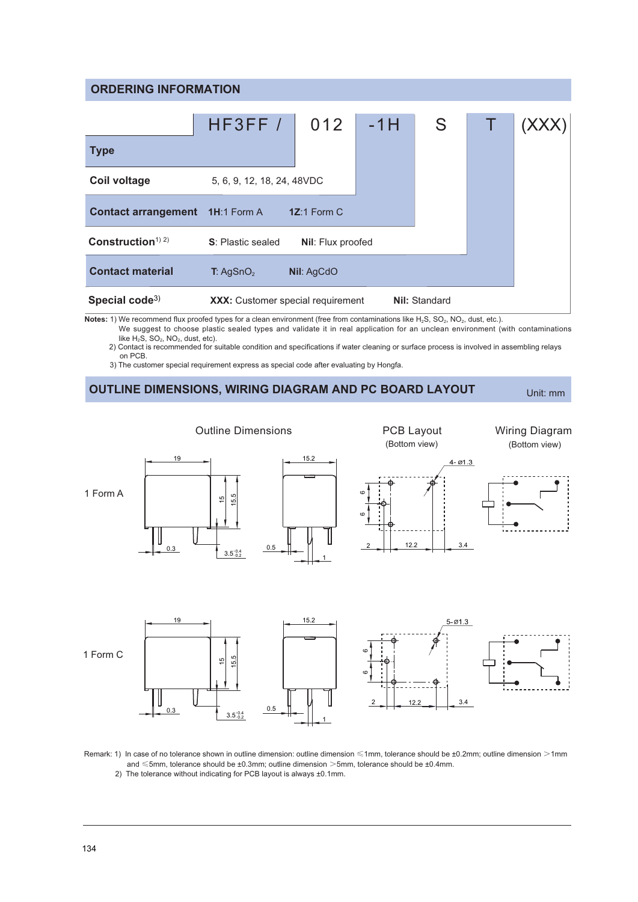#### **ORDERING INFORMATION**

|                                                                                                      | HFSFF/                                   | 012           | $-1H$                | S |  |  |
|------------------------------------------------------------------------------------------------------|------------------------------------------|---------------|----------------------|---|--|--|
| <b>Type</b>                                                                                          |                                          |               |                      |   |  |  |
| Coil voltage                                                                                         | 5, 6, 9, 12, 18, 24, 48VDC               |               |                      |   |  |  |
| <b>Contact arrangement</b> 1H:1 Form A                                                               |                                          | $1Z:1$ Form C |                      |   |  |  |
| Construction <sup><math>(1)</math> 2)</sup><br><b>S</b> : Plastic sealed<br><b>Nil:</b> Flux proofed |                                          |               |                      |   |  |  |
| <b>Contact material</b>                                                                              | T: AgSnO <sub>2</sub>                    | Nil: AgCdO    |                      |   |  |  |
| Special code <sup>3)</sup>                                                                           | <b>XXX:</b> Customer special requirement |               | <b>Nil: Standard</b> |   |  |  |

**Notes:** 1) We recommend flux proofed types for a clean environment (free from contaminations like H<sub>2</sub>S, SO<sub>2</sub>, NO<sub>2</sub>, dust, etc.).

We suggest to choose plastic sealed types and validate it in real application for an unclean environment (with contaminations like  $H_2S$ ,  $SO_2$ ,  $NO_2$ , dust, etc).

8 the commended for suitable condition and specifications if water cleaning or surface process is involved in assembling relays on PCB.

8 111 8 2: (115) The customer special requirement express as special code after evaluating by Hongfa.

## OUTLINE DIMENSIONS, WIRING DIAGRAM AND PC BOARD LAYOUT

Unit: mm



Remark: 1) In case of no tolerance shown in outline dimension: outline dimension <1mm, tolerance should be ±0.2mm; outline dimension >1mm and  $\leq$ 5mm, tolerance should be ±0.3mm; outline dimension  $>$ 5mm, tolerance should be ±0.4mm.

2) The tolerance without indicating for PCB layout is always ±0.1mm.